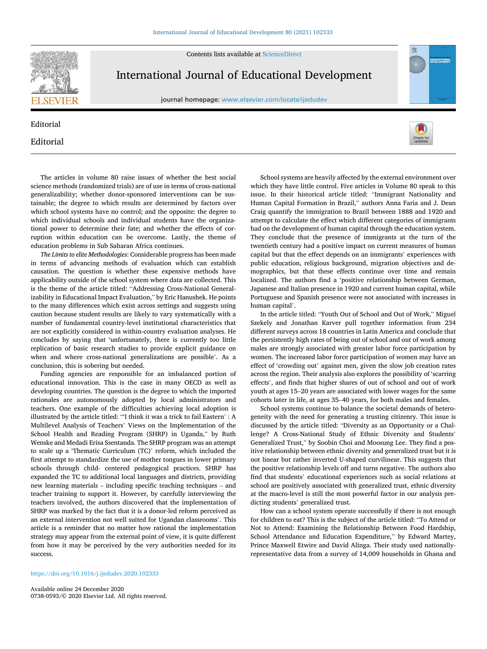Contents lists available at [ScienceDirect](www.sciencedirect.com/science/journal/07380593)



## International Journal of Educational Development

journal homepage: [www.elsevier.com/locate/ijedudev](https://www.elsevier.com/locate/ijedudev)

## Editorial

Editorial



EDUCATIONA

The articles in volume 80 raise issues of whether the best social science methods (randomized trials) are of use in terms of cross-national generalizability; whether donor-sponsored interventions can be sustainable; the degree to which results are determined by factors over which school systems have no control; and the opposite: the degree to which individual schools and individual students have the organizational power to determine their fate; and whether the effects of corruption within education can be overcome. Lastly, the theme of education problems in Sub Saharan Africa continues.

*The Limits to elite Methodologies*: Considerable progress has been made in terms of advancing methods of evaluation which can establish causation. The question is whether these expensive methods have applicability outside of the school system where data are collected. This is the theme of the article titled: "Addressing Cross-National Generalizability in Educational Impact Evaluation," by Eric Hanushek. He points to the many differences which exist across settings and suggests using caution because student results are likely to vary systematically with a number of fundamental country-level institutional characteristics that are not explicitly considered in within-country evaluation analyses. He concludes by saying that 'unfortunately, there is currently too little replication of basic research studies to provide explicit guidance on when and where cross-national generalizations are possible'. As a conclusion, this is sobering but needed.

Funding agencies are responsible for an imbalanced portion of educational innovation. This is the case in many OECD as well as developing countries. The question is the degree to which the imported rationales are autonomously adopted by local administrators and teachers. One example of the difficulties achieving local adoption is illustrated by the article titled: "'I think it was a trick to fail Eastern' : A Multilevel Analysis of Teachers' Views on the Implementation of the School Health and Reading Program (SHRP) in Uganda," by Ruth Wenske and Medadi Erisa Ssentanda. The SHRP program was an attempt to scale up a 'Thematic Curriculum (TC)' reform, which included the first attempt to standardize the use of mother tongues in lower primary schools through child- centered pedagogical practices. SHRP has expanded the TC to additional local languages and districts, providing new learning materials – including specific teaching techniques – and teacher training to support it. However, by carefully interviewing the teachers involved, the authors discovered that the implementation of SHRP was marked by the fact that it is a donor-led reform perceived as an external intervention not well suited for Ugandan classrooms'. This article is a reminder that no matter how rational the implementation strategy may appear from the external point of view, it is quite different from how it may be perceived by the very authorities needed for its success.

School systems are heavily affected by the external environment over which they have little control. Five articles in Volume 80 speak to this issue. In their historical article titled: "Immigrant Nationality and Human Capital Formation in Brazil," authors Anna Faria and J. Dean Craig quantify the immigration to Brazil between 1888 and 1920 and attempt to calculate the effect which different categories of immigrants had on the development of human capital through the education system. They conclude that the presence of immigrants at the turn of the twentieth century had a positive impact on current measures of human capital but that the effect depends on an immigrants' experiences with public education, religious background, migration objectives and demographics, but that these effects continue over time and remain localized. The authors find a 'positive relationship between German, Japanese and Italian presence in 1920 and current human capital, while Portuguese and Spanish presence were not associated with increases in human capital'.

In the article titled: "Youth Out of School and Out of Work," Miguel Szekely and Jonathan Karver pull together information from 234 different surveys across 18 countries in Latin America and conclude that the persistently high rates of being out of school and out of work among males are strongly associated with greater labor force participation by women. The increased labor force participation of women may have an effect of 'crowding out' against men, given the slow job creation rates across the region. Their analysis also explores the possibility of 'scarring effects', and finds that higher shares of out of school and out of work youth at ages 15–20 years are associated with lower wages for the same cohorts later in life, at ages 35–40 years, for both males and females.

School systems continue to balance the societal demands of heterogeneity with the need for generating a trusting citizenry. This issue is discussed by the article titled: "Diversity as an Opportunity or a Challenge? A Cross-National Study of Ethnic Diversity and Students' Generalized Trust," by Soobin Choi and Moosung Lee. They find a positive relationship between ethnic diversity and generalized trust but it is not linear but rather inverted U-shaped curvilinear. This suggests that the positive relationship levels off and turns negative. The authors also find that students' educational experiences such as social relations at school are positively associated with generalized trust, ethnic diversity at the macro-level is still the most powerful factor in our analysis predicting students' generalized trust.

How can a school system operate successfully if there is not enough for children to eat? This is the subject of the article titled: "To Attend or Not to Attend: Examining the Relationship Between Food Hardship, School Attendance and Education Expenditure," by Edward Martey, Prince Maxwell Etwire and David Alinga. Their study used nationallyrepresentative data from a survey of 14,009 households in Ghana and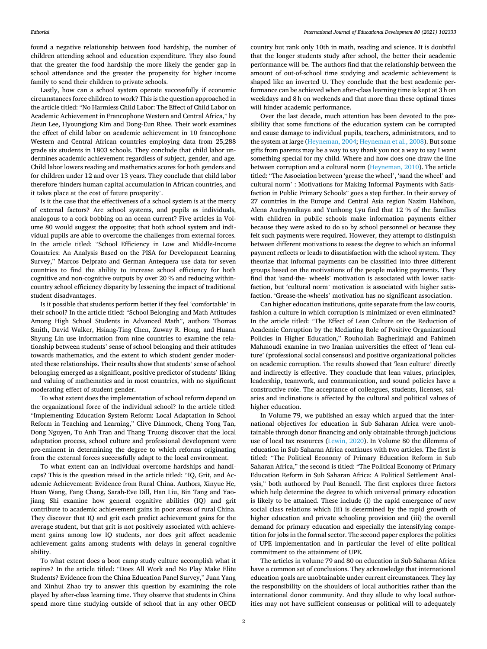found a negative relationship between food hardship, the number of children attending school and education expenditure. They also found that the greater the food hardship the more likely the gender gap in school attendance and the greater the propensity for higher income family to send their children to private schools.

Lastly, how can a school system operate successfully if economic circumstances force children to work? This is the question approached in the article titled: "No Harmless Child Labor: The Effect of Child Labor on Academic Achievement in Francophone Western and Central Africa," by Jieun Lee, Hyoungjong Kim and Dong-Eun Rhee. Their work examines the effect of child labor on academic achievement in 10 francophone Western and Central African countries employing data from 25,288 grade six students in 1803 schools. They conclude that child labor undermines academic achievement regardless of subject, gender, and age. Child labor lowers reading and mathematics scores for both genders and for children under 12 and over 13 years. They conclude that child labor therefore 'hinders human capital accumulation in African countries, and it takes place at the cost of future prosperity'.

Is it the case that the effectiveness of a school system is at the mercy of external factors? Are school systems, and pupils as individuals, analogous to a cork bobbing on an ocean current? Five articles in Volume 80 would suggest the opposite; that both school system and individual pupils are able to overcome the challenges from external forces. In the article titled: "School Efficiency in Low and Middle-Income Countries: An Analysis Based on the PISA for Development Learning Survey," Marcos Delprato and German Antequera use data for seven countries to find the ability to increase school efficiency for both cognitive and non-cognitive outputs by over 20 % and reducing withincountry school efficiency disparity by lessening the impact of traditional student disadvantages.

Is it possible that students perform better if they feel 'comfortable' in their school? In the article titled: "School Belonging and Math Attitudes Among High School Students in Advanced Math", authors Thomas Smith, David Walker, Hsiang-Ting Chen, Zuway R. Hong, and Huann Shyung Lin use information from nine countries to examine the relationship between students' sense of school belonging and their attitudes towards mathematics, and the extent to which student gender moderated these relationships. Their results show that students' sense of school belonging emerged as a significant, positive predictor of students' liking and valuing of mathematics and in most countries, with no significant moderating effect of student gender.

To what extent does the implementation of school reform depend on the organizational force of the individual school? In the article titled: "Implementing Education System Reform: Local Adaptation in School Reform in Teaching and Learning," Clive Dimmock, Cheng Yong Tan, Dong Nguyen, Tu Anh Tran and Thang Truong discover that the local adaptation process, school culture and professional development were pre-eminent in determining the degree to which reforms originating from the external forces successfully adapt to the local environment.

To what extent can an individual overcome hardships and handicaps? This is the question raised in the article titled: "IQ, Grit, and Academic Achievement: Evidence from Rural China. Authors, Xinyue He, Huan Wang, Fang Chang, Sarah-Eve Dill, Han Liu, Bin Tang and Yaojiang Shi examine how general cognitive abilities (IQ) and grit contribute to academic achievement gains in poor areas of rural China. They discover that IQ and grit each predict achievement gains for the average student, but that grit is not positively associated with achievement gains among low IQ students, nor does grit affect academic achievement gains among students with delays in general cognitive ability.

To what extent does a boot camp study culture accomplish what it aspires? In the article titled: "Does All Work and No Play Make Elite Students? Evidence from the China Education Panel Survey," Juan Yang and Xinhui Zhao try to answer this question by examining the role played by after-class learning time. They observe that students in China spend more time studying outside of school that in any other OECD

country but rank only 10th in math, reading and science. It is doubtful that the longer students study after school, the better their academic performance will be. The authors find that the relationship between the amount of out-of-school time studying and academic achievement is shaped like an inverted U. They conclude that the best academic performance can be achieved when after-class learning time is kept at 3 h on weekdays and 8 h on weekends and that more than these optimal times will hinder academic performance.

Over the last decade, much attention has been devoted to the possibility that some functions of the education system can be corrupted and cause damage to individual pupils, teachers, administrators, and to the system at large [\(Heyneman, 2004; Heyneman et al., 2008\)](#page-2-0). But some gifts from parents may be a way to say thank you not a way to say I want something special for my child. Where and how does one draw the line between corruption and a cultural norm ([Heyneman, 2010\)](#page-2-0). The article titled: "The Association between 'grease the wheel', 'sand the wheel' and cultural norm' : Motivations for Making Informal Payments with Satisfaction in Public Primary Schools" goes a step further. In their survey of 27 countries in the Europe and Central Asia region Nazim Habibou, Alena Auchynnikaya and Yunhong Lyu find that 12 % of the families with children in public schools make information payments either because they were asked to do so by school personnel or because they felt such payments were required. However, they attempt to distinguish between different motivations to assess the degree to which an informal payment reflects or leads to dissatisfaction with the school system. They theorize that informal payments can be classified into three different groups based on the motivations of the people making payments. They find that 'sand-the- wheels' motivation is associated with lower satisfaction, but 'cultural norm' motivation is associated with higher satisfaction. 'Grease-the-wheels' motivation has no significant association.

Can higher education institutions, quite separate from the law courts, fashion a culture in which corruption is minimized or even eliminated? In the article titled: "The Effect of Lean Culture on the Reduction of Academic Corruption by the Mediating Role of Positive Organizational Policies in Higher Education," Rouhollah Bagherimajd and Fahimeh Mahmoudi examine in two Iranian universities the effect of 'lean culture' (professional social consensus) and positive organizational policies on academic corruption. The results showed that 'lean culture' directly and indirectly is effective. They conclude that lean values, principles, leadership, teamwork, and communication, and sound policies have a constructive role. The acceptance of colleagues, students, licenses, salaries and inclinations is affected by the cultural and political values of higher education.

In Volume 79, we published an essay which argued that the international objectives for education in Sub Saharan Africa were unobtainable through donor financing and only obtainable through judicious use of local tax resources [\(Lewin, 2020](#page-2-0)). In Volume 80 the dilemma of education in Sub Saharan Africa continues with two articles. The first is titled: "The Political Economy of Primary Education Reform in Sub Saharan Africa," the second is titled: "The Political Economy of Primary Education Reform in Sub Saharan Africa: A Political Settlement Analysis," both authored by Paul Bennell. The first explores three factors which help determine the degree to which universal primary education is likely to be attained. These include (i) the rapid emergence of new social class relations which (ii) is determined by the rapid growth of higher education and private schooling provision and (iii) the overall demand for primary education and especially the intensifying competition for jobs in the formal sector. The second paper explores the politics of UPE implementation and in particular the level of elite political commitment to the attainment of UPE.

The articles in volume 79 and 80 on education in Sub Saharan Africa have a common set of conclusions. They acknowledge that international education goals are unobtainable under current circumstances. They lay the responsibility on the shoulders of local authorities rather than the international donor community. And they allude to why local authorities may not have sufficient consensus or political will to adequately